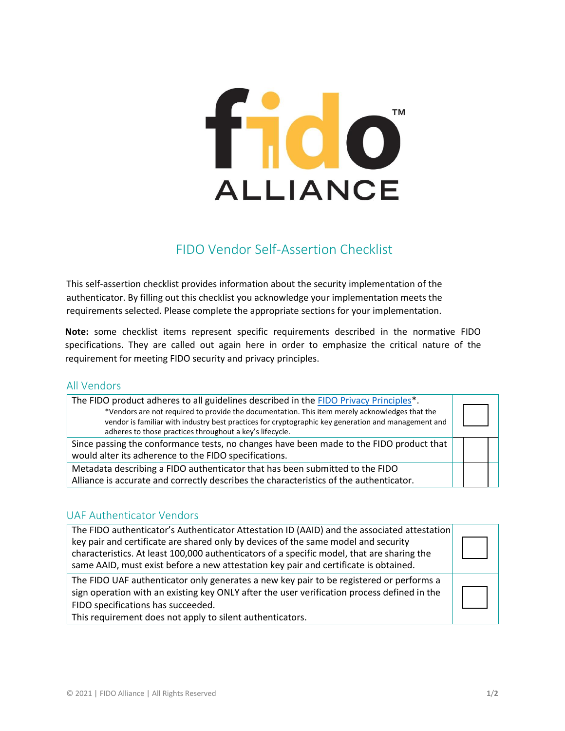# fido<sup>"</sup> **ALLIANCE**

# FIDO Vendor Self-Assertion Checklist

This self-assertion checklist provides information about the security implementation of the authenticator. By filling out this checklist you acknowledge your implementation meets the requirements selected. Please complete the appropriate sections for your implementation.

**Note:** some checklist items represent specific requirements described in the normative FIDO specifications. They are called out again here in order to emphasize the critical nature of the requirement for meeting FIDO security and privacy principles.

### All Vendors

| The FIDO product adheres to all guidelines described in the FIDO Privacy Principles*.<br>*Vendors are not required to provide the documentation. This item merely acknowledges that the<br>vendor is familiar with industry best practices for cryptographic key generation and management and<br>adheres to those practices throughout a key's lifecycle. |  |
|------------------------------------------------------------------------------------------------------------------------------------------------------------------------------------------------------------------------------------------------------------------------------------------------------------------------------------------------------------|--|
| Since passing the conformance tests, no changes have been made to the FIDO product that<br>would alter its adherence to the FIDO specifications.                                                                                                                                                                                                           |  |
| Metadata describing a FIDO authenticator that has been submitted to the FIDO<br>Alliance is accurate and correctly describes the characteristics of the authenticator.                                                                                                                                                                                     |  |

# UAF Authenticator Vendors

| The FIDO authenticator's Authenticator Attestation ID (AAID) and the associated attestation<br>key pair and certificate are shared only by devices of the same model and security<br>characteristics. At least 100,000 authenticators of a specific model, that are sharing the<br>same AAID, must exist before a new attestation key pair and certificate is obtained. |  |
|-------------------------------------------------------------------------------------------------------------------------------------------------------------------------------------------------------------------------------------------------------------------------------------------------------------------------------------------------------------------------|--|
| The FIDO UAF authenticator only generates a new key pair to be registered or performs a<br>sign operation with an existing key ONLY after the user verification process defined in the<br>FIDO specifications has succeeded.<br>This requirement does not apply to silent authenticators.                                                                               |  |